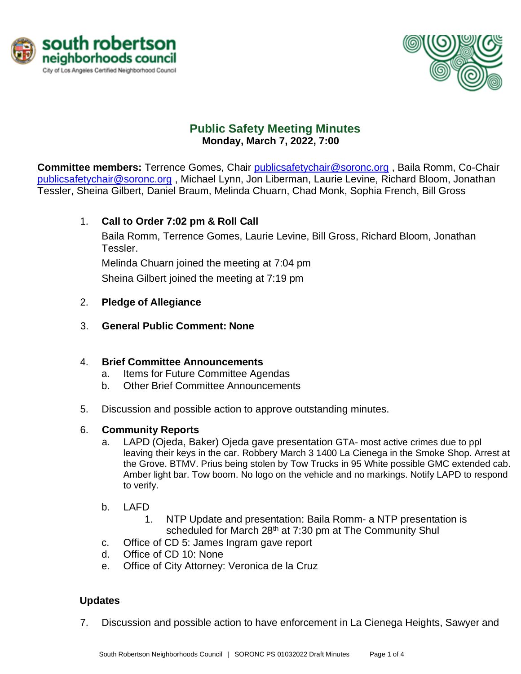



# **Public Safety Meeting Minutes Monday, March 7, 2022, 7:00**

**Committee members:** Terrence Gomes, Chair [publicsafetychair@soronc.org](mailto:publicsafetychair@soronc.org) , Baila Romm, Co-Chair [publicsafetychair@soronc.org](mailto:publicsafetychair@soronc.org) , Michael Lynn, Jon Liberman, Laurie Levine, Richard Bloom, Jonathan Tessler, Sheina Gilbert, Daniel Braum, Melinda Chuarn, Chad Monk, Sophia French, Bill Gross

# 1. **Call to Order 7:02 pm & Roll Call**

Baila Romm, Terrence Gomes, Laurie Levine, Bill Gross, Richard Bloom, Jonathan Tessler.

Melinda Chuarn joined the meeting at 7:04 pm

Sheina Gilbert joined the meeting at 7:19 pm

### 2. **Pledge of Allegiance**

3. **General Public Comment: None**

### 4. **Brief Committee Announcements**

- a. Items for Future Committee Agendas
- b. Other Brief Committee Announcements
- 5. Discussion and possible action to approve outstanding minutes.

### 6. **Community Reports**

- a. LAPD (Ojeda, Baker) Ojeda gave presentation GTA- most active crimes due to ppl leaving their keys in the car. Robbery March 3 1400 La Cienega in the Smoke Shop. Arrest at the Grove. BTMV. Prius being stolen by Tow Trucks in 95 White possible GMC extended cab. Amber light bar. Tow boom. No logo on the vehicle and no markings. Notify LAPD to respond to verify.
- b. LAFD
	- 1. NTP Update and presentation: Baila Romm- a NTP presentation is scheduled for March 28<sup>th</sup> at 7:30 pm at The Community Shul
- c. Office of CD 5: James Ingram gave report
- d. Office of CD 10: None
- e. Office of City Attorney: Veronica de la Cruz

### **Updates**

7. Discussion and possible action to have enforcement in La Cienega Heights, Sawyer and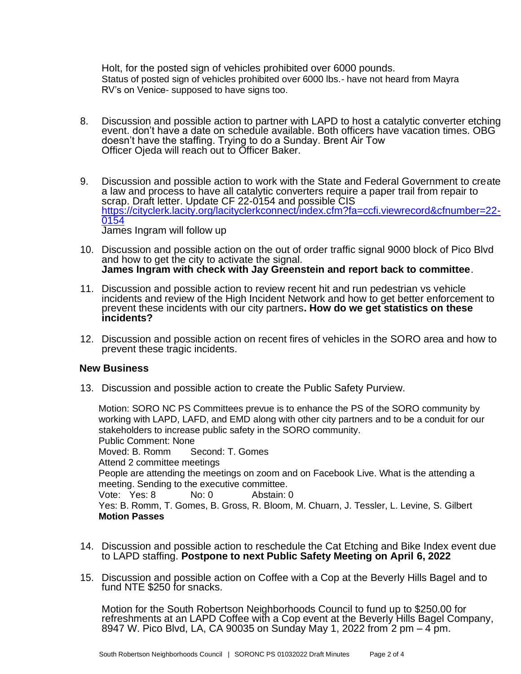Holt, for the posted sign of vehicles prohibited over 6000 pounds. Status of posted sign of vehicles prohibited over 6000 lbs.- have not heard from Mayra RV's on Venice- supposed to have signs too.

- 8. Discussion and possible action to partner with LAPD to host a catalytic converter etching event. don't have a date on schedule available. Both officers have vacation times. OBG doesn't have the staffing. Trying to do a Sunday. Brent Air Tow Officer Ojeda will reach out to Officer Baker.
- 9. Discussion and possible action to work with the State and Federal Government to create a law and process to have all catalytic converters require a paper trail from repair to scrap. Draft letter. Update CF 22-0154 and possible CIS [https://cityclerk.lacity.org/lacityclerkconnect/index.cfm?fa=ccfi.viewrecord&cfnumber=22-](https://cityclerk.lacity.org/lacityclerkconnect/index.cfm?fa=ccfi.viewrecord&cfnumber=22-0154) [0154](https://cityclerk.lacity.org/lacityclerkconnect/index.cfm?fa=ccfi.viewrecord&cfnumber=22-0154) James Ingram will follow up
- 10. Discussion and possible action on the out of order traffic signal 9000 block of Pico Blvd and how to get the city to activate the signal. **James Ingram with check with Jay Greenstein and report back to committee**.
- 11. Discussion and possible action to review recent hit and run pedestrian vs vehicle incidents and review of the High Incident Network and how to get better enforcement to prevent these incidents with our city partners**. How do we get statistics on these incidents?**
- 12. Discussion and possible action on recent fires of vehicles in the SORO area and how to prevent these tragic incidents.

#### **New Business**

13. Discussion and possible action to create the Public Safety Purview.

Motion: SORO NC PS Committees prevue is to enhance the PS of the SORO community by working with LAPD, LAFD, and EMD along with other city partners and to be a conduit for our stakeholders to increase public safety in the SORO community. Public Comment: None Moved: B. Romm Second: T. Gomes Attend 2 committee meetings People are attending the meetings on zoom and on Facebook Live. What is the attending a meeting. Sending to the executive committee. Vote: Yes: 8 No: 0 Abstain: 0 Yes: B. Romm, T. Gomes, B. Gross, R. Bloom, M. Chuarn, J. Tessler, L. Levine, S. Gilbert **Motion Passes**

- 14. Discussion and possible action to reschedule the Cat Etching and Bike Index event due to LAPD staffing. **Postpone to next Public Safety Meeting on April 6, 2022**
- 15. Discussion and possible action on Coffee with a Cop at the Beverly Hills Bagel and to fund NTE \$250 for snacks.

Motion for the South Robertson Neighborhoods Council to fund up to \$250.00 for refreshments at an LAPD Coffee with a Cop event at the Beverly Hills Bagel Company, 8947 W. Pico Blvd, LA, CA 90035 on Sunday May 1, 2022 from 2 pm – 4 pm.